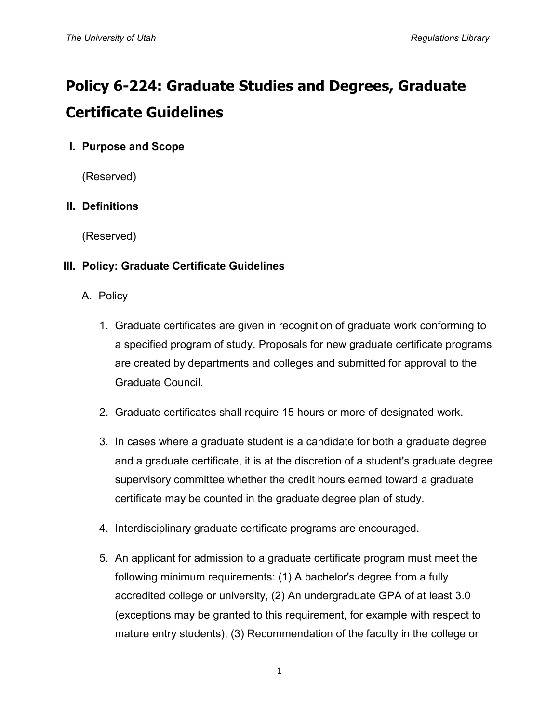# **Policy 6-224: Graduate Studies and Degrees, Graduate Certificate Guidelines**

# **I. Purpose and Scope**

(Reserved)

# **II. Definitions**

(Reserved)

## **III. Policy: Graduate Certificate Guidelines**

- A. Policy
	- 1. Graduate certificates are given in recognition of graduate work conforming to a specified program of study. Proposals for new graduate certificate programs are created by departments and colleges and submitted for approval to the Graduate Council.
	- 2. Graduate certificates shall require 15 hours or more of designated work.
	- 3. In cases where a graduate student is a candidate for both a graduate degree and a graduate certificate, it is at the discretion of a student's graduate degree supervisory committee whether the credit hours earned toward a graduate certificate may be counted in the graduate degree plan of study.
	- 4. Interdisciplinary graduate certificate programs are encouraged.
	- 5. An applicant for admission to a graduate certificate program must meet the following minimum requirements: (1) A bachelor's degree from a fully accredited college or university, (2) An undergraduate GPA of at least 3.0 (exceptions may be granted to this requirement, for example with respect to mature entry students), (3) Recommendation of the faculty in the college or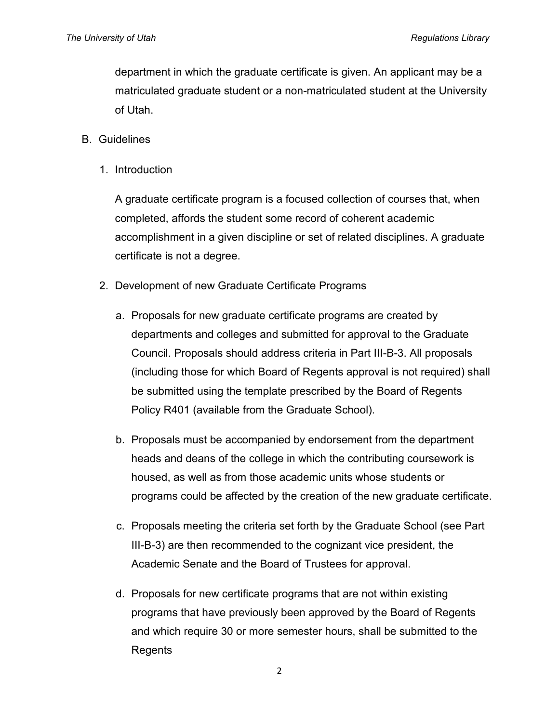department in which the graduate certificate is given. An applicant may be a matriculated graduate student or a non-matriculated student at the University of Utah.

#### B. Guidelines

1. Introduction

A graduate certificate program is a focused collection of courses that, when completed, affords the student some record of coherent academic accomplishment in a given discipline or set of related disciplines. A graduate certificate is not a degree.

- 2. Development of new Graduate Certificate Programs
	- a. Proposals for new graduate certificate programs are created by departments and colleges and submitted for approval to the Graduate Council. Proposals should address criteria in Part III-B-3. All proposals (including those for which Board of Regents approval is not required) shall be submitted using the template prescribed by the Board of Regents Policy R401 (available from the Graduate School).
	- b. Proposals must be accompanied by endorsement from the department heads and deans of the college in which the contributing coursework is housed, as well as from those academic units whose students or programs could be affected by the creation of the new graduate certificate.
	- c. Proposals meeting the criteria set forth by the Graduate School (see Part III-B-3) are then recommended to the cognizant vice president, the Academic Senate and the Board of Trustees for approval.
	- d. Proposals for new certificate programs that are not within existing programs that have previously been approved by the Board of Regents and which require 30 or more semester hours, shall be submitted to the Regents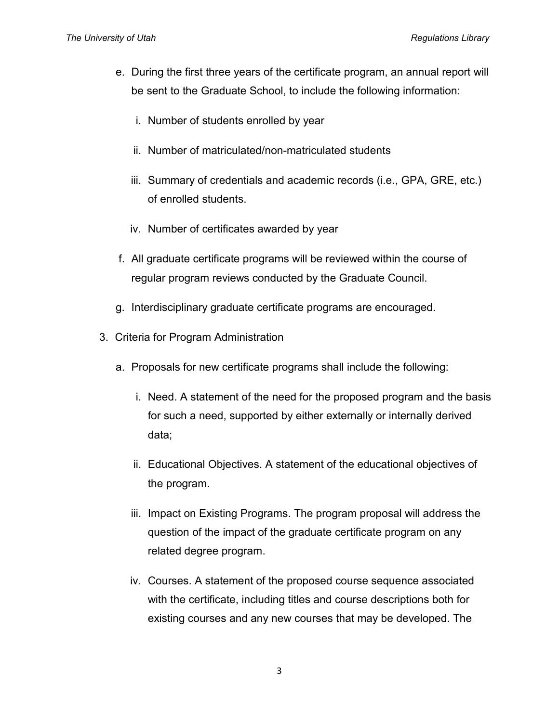- e. During the first three years of the certificate program, an annual report will be sent to the Graduate School, to include the following information:
	- i. Number of students enrolled by year
	- ii. Number of matriculated/non-matriculated students
	- iii. Summary of credentials and academic records (i.e., GPA, GRE, etc.) of enrolled students.
	- iv. Number of certificates awarded by year
- f. All graduate certificate programs will be reviewed within the course of regular program reviews conducted by the Graduate Council.
- g. Interdisciplinary graduate certificate programs are encouraged.
- 3. Criteria for Program Administration
	- a. Proposals for new certificate programs shall include the following:
		- i. Need. A statement of the need for the proposed program and the basis for such a need, supported by either externally or internally derived data;
		- ii. Educational Objectives. A statement of the educational objectives of the program.
		- iii. Impact on Existing Programs. The program proposal will address the question of the impact of the graduate certificate program on any related degree program.
		- iv. Courses. A statement of the proposed course sequence associated with the certificate, including titles and course descriptions both for existing courses and any new courses that may be developed. The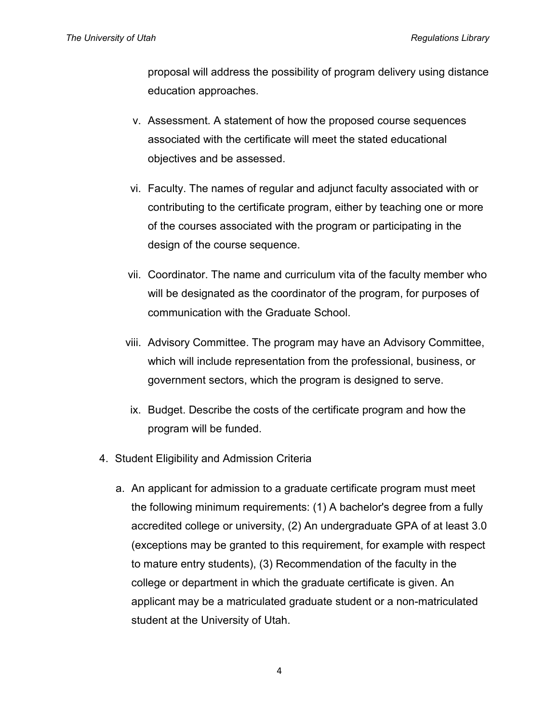proposal will address the possibility of program delivery using distance education approaches.

- v. Assessment. A statement of how the proposed course sequences associated with the certificate will meet the stated educational objectives and be assessed.
- vi. Faculty. The names of regular and adjunct faculty associated with or contributing to the certificate program, either by teaching one or more of the courses associated with the program or participating in the design of the course sequence.
- vii. Coordinator. The name and curriculum vita of the faculty member who will be designated as the coordinator of the program, for purposes of communication with the Graduate School.
- viii. Advisory Committee. The program may have an Advisory Committee, which will include representation from the professional, business, or government sectors, which the program is designed to serve.
- ix. Budget. Describe the costs of the certificate program and how the program will be funded.
- 4. Student Eligibility and Admission Criteria
	- a. An applicant for admission to a graduate certificate program must meet the following minimum requirements: (1) A bachelor's degree from a fully accredited college or university, (2) An undergraduate GPA of at least 3.0 (exceptions may be granted to this requirement, for example with respect to mature entry students), (3) Recommendation of the faculty in the college or department in which the graduate certificate is given. An applicant may be a matriculated graduate student or a non-matriculated student at the University of Utah.

4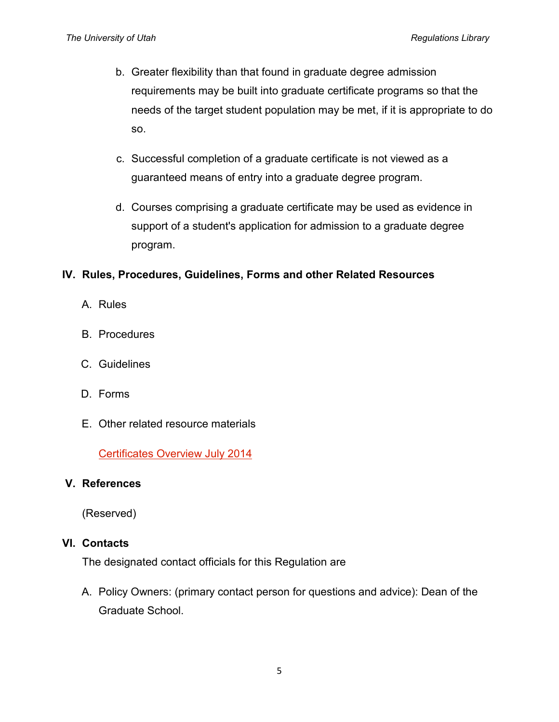- b. Greater flexibility than that found in graduate degree admission requirements may be built into graduate certificate programs so that the needs of the target student population may be met, if it is appropriate to do so.
- c. Successful completion of a graduate certificate is not viewed as a guaranteed means of entry into a graduate degree program.
- d. Courses comprising a graduate certificate may be used as evidence in support of a student's application for admission to a graduate degree program.

## **IV. Rules, Procedures, Guidelines, Forms and other Related Resources**

- A. Rules
- B. Procedures
- C. Guidelines
- D. Forms
- E. Other related resource materials

[Certificates Overview July 2014](http://regulations.utah.edu/academics/appendices_6/6-224_Certificates%20Overview%20July%202014.pdf)

## **V. References**

(Reserved)

#### **VI. Contacts**

The designated contact officials for this Regulation are

A. Policy Owners: (primary contact person for questions and advice): Dean of the Graduate School.